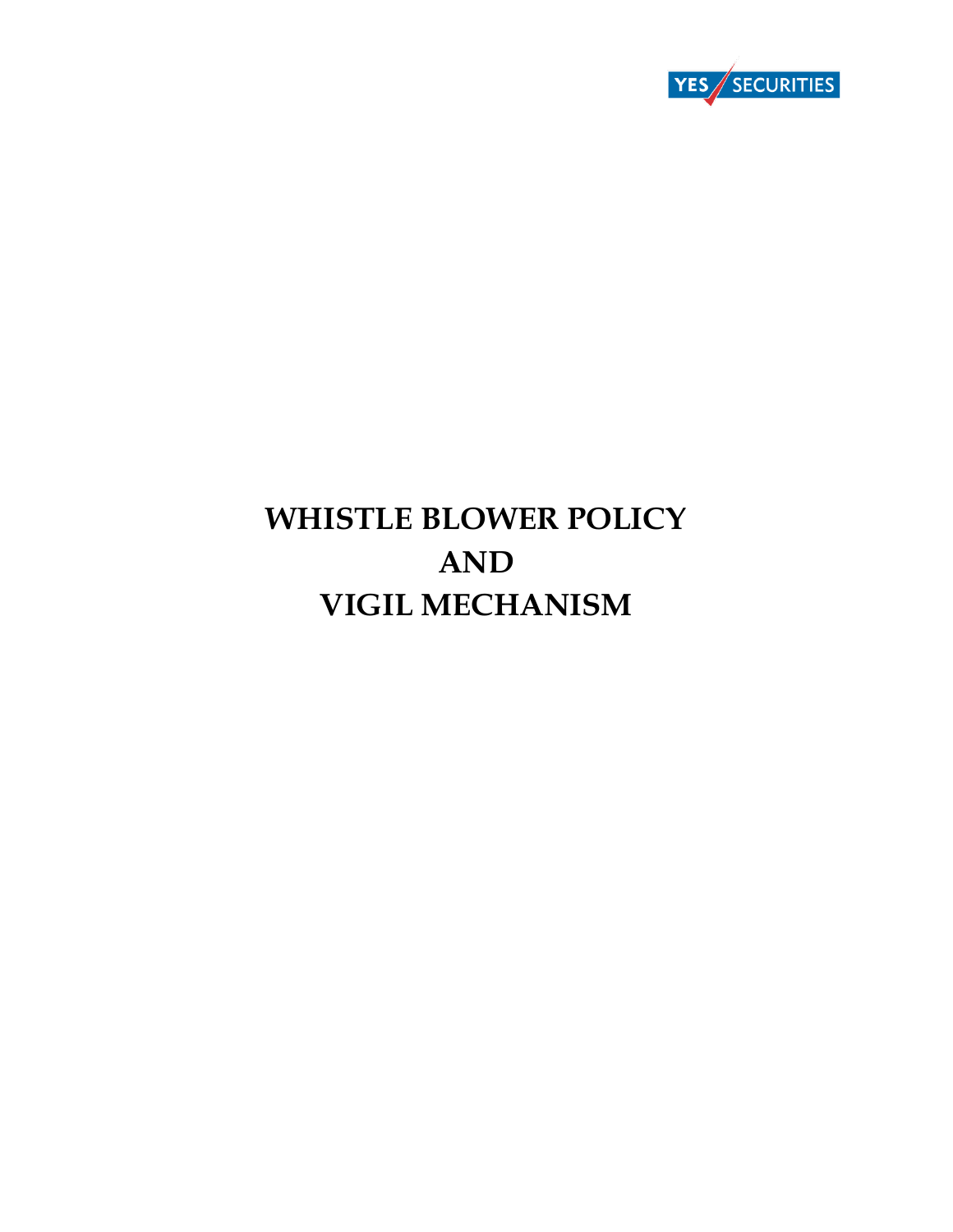

# **WHISTLE BLOWER POLICY AND VIGIL MECHANISM**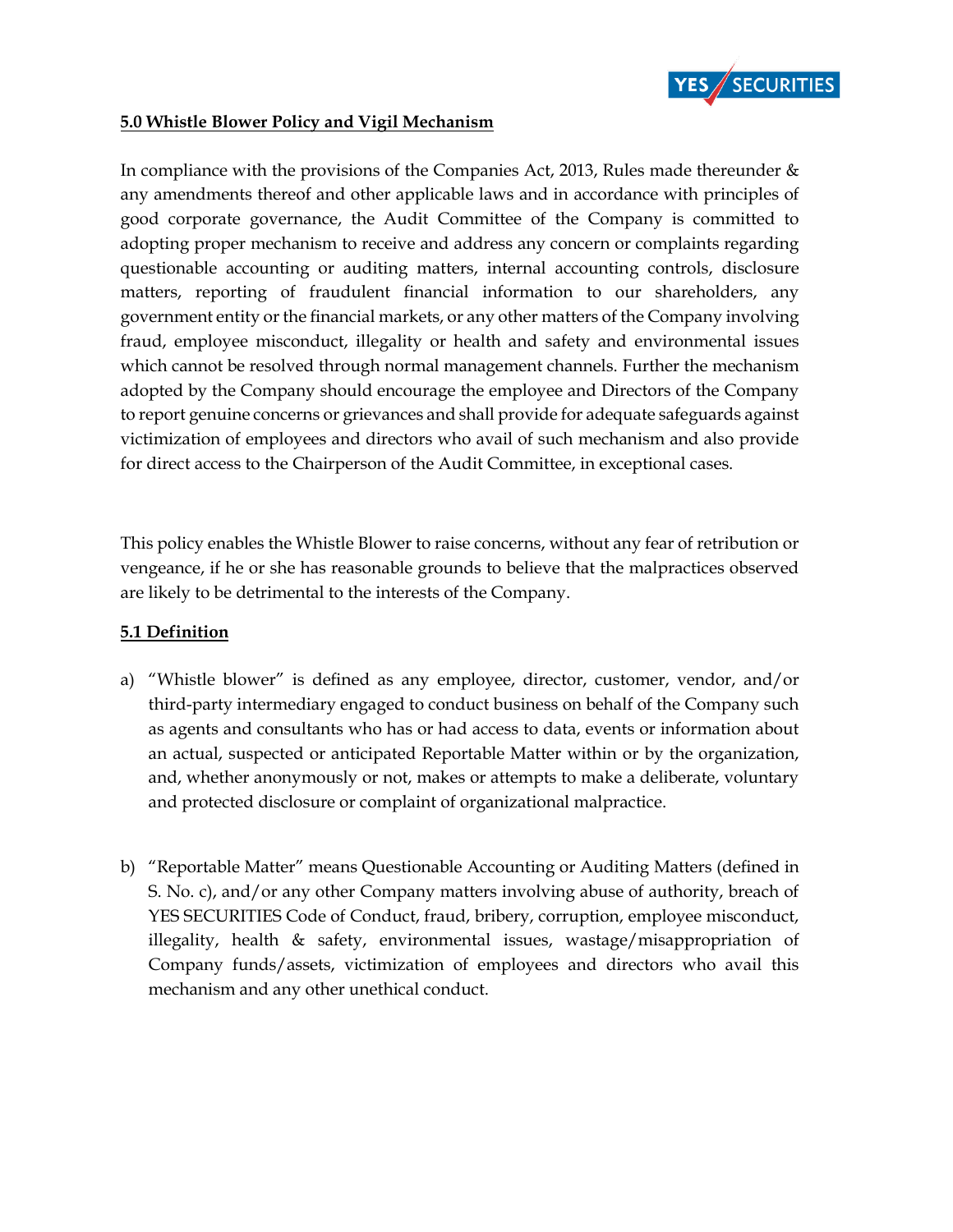

#### **5.0 Whistle Blower Policy and Vigil Mechanism**

In compliance with the provisions of the Companies Act, 2013, Rules made thereunder & any amendments thereof and other applicable laws and in accordance with principles of good corporate governance, the Audit Committee of the Company is committed to adopting proper mechanism to receive and address any concern or complaints regarding questionable accounting or auditing matters, internal accounting controls, disclosure matters, reporting of fraudulent financial information to our shareholders, any government entity or the financial markets, or any other matters of the Company involving fraud, employee misconduct, illegality or health and safety and environmental issues which cannot be resolved through normal management channels. Further the mechanism adopted by the Company should encourage the employee and Directors of the Company to report genuine concerns or grievances and shall provide for adequate safeguards against victimization of employees and directors who avail of such mechanism and also provide for direct access to the Chairperson of the Audit Committee, in exceptional cases.

This policy enables the Whistle Blower to raise concerns, without any fear of retribution or vengeance, if he or she has reasonable grounds to believe that the malpractices observed are likely to be detrimental to the interests of the Company.

## **5.1 Definition**

- a) "Whistle blower" is defined as any employee, director, customer, vendor, and/or third-party intermediary engaged to conduct business on behalf of the Company such as agents and consultants who has or had access to data, events or information about an actual, suspected or anticipated Reportable Matter within or by the organization, and, whether anonymously or not, makes or attempts to make a deliberate, voluntary and protected disclosure or complaint of organizational malpractice.
- b) "Reportable Matter" means Questionable Accounting or Auditing Matters (defined in S. No. c), and/or any other Company matters involving abuse of authority, breach of YES SECURITIES Code of Conduct, fraud, bribery, corruption, employee misconduct, illegality, health & safety, environmental issues, wastage/misappropriation of Company funds/assets, victimization of employees and directors who avail this mechanism and any other unethical conduct.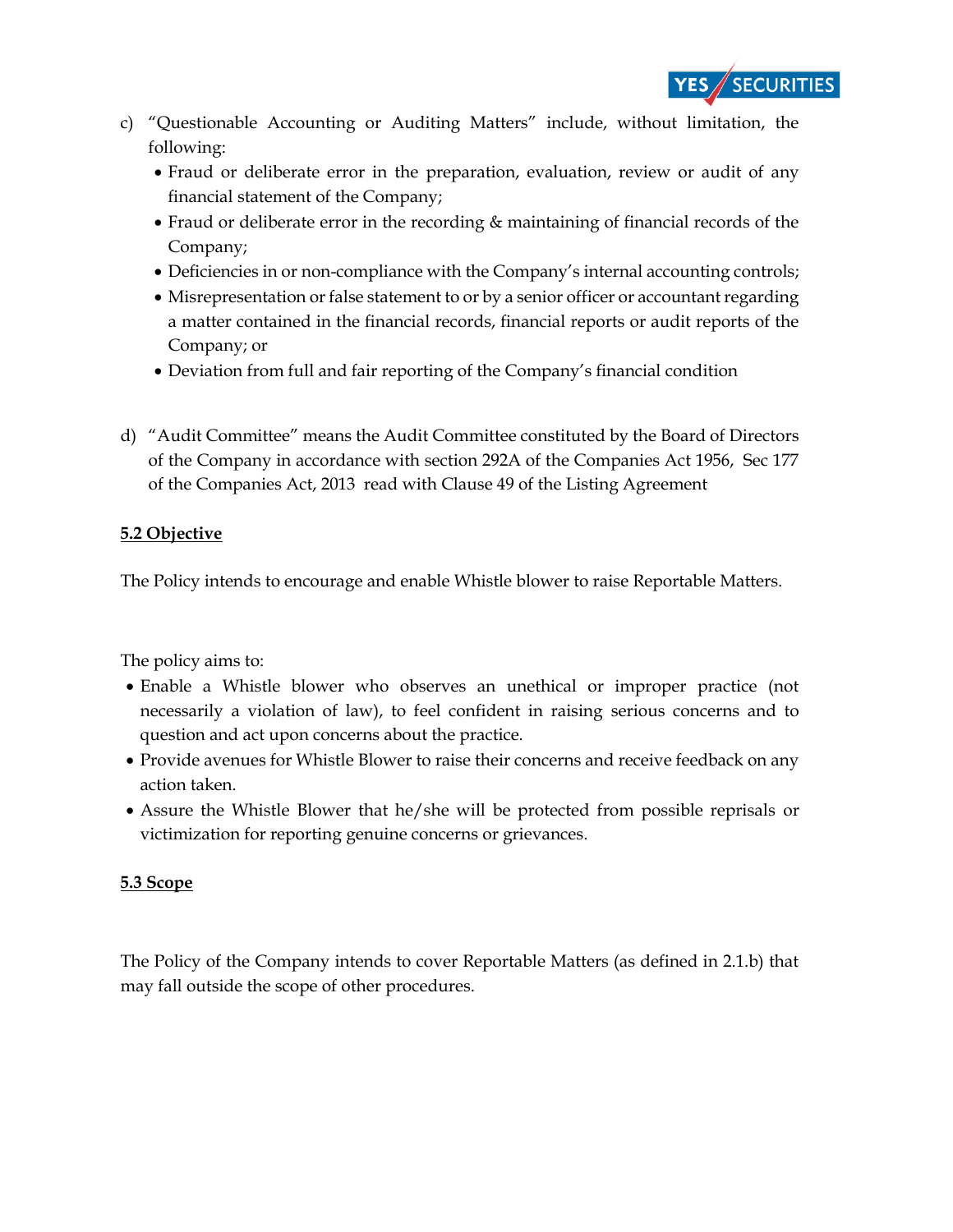

- c) "Questionable Accounting or Auditing Matters" include, without limitation, the following:
	- Fraud or deliberate error in the preparation, evaluation, review or audit of any financial statement of the Company;
	- Fraud or deliberate error in the recording & maintaining of financial records of the Company;
	- Deficiencies in or non-compliance with the Company's internal accounting controls;
	- Misrepresentation or false statement to or by a senior officer or accountant regarding a matter contained in the financial records, financial reports or audit reports of the Company; or
	- Deviation from full and fair reporting of the Company's financial condition
- d) "Audit Committee" means the Audit Committee constituted by the Board of Directors of the Company in accordance with section 292A of the Companies Act 1956, Sec 177 of the Companies Act, 2013 read with Clause 49 of the Listing Agreement

## **5.2 Objective**

The Policy intends to encourage and enable Whistle blower to raise Reportable Matters.

The policy aims to:

- Enable a Whistle blower who observes an unethical or improper practice (not necessarily a violation of law), to feel confident in raising serious concerns and to question and act upon concerns about the practice.
- Provide avenues for Whistle Blower to raise their concerns and receive feedback on any action taken.
- Assure the Whistle Blower that he/she will be protected from possible reprisals or victimization for reporting genuine concerns or grievances.

# **5.3 Scope**

The Policy of the Company intends to cover Reportable Matters (as defined in 2.1.b) that may fall outside the scope of other procedures.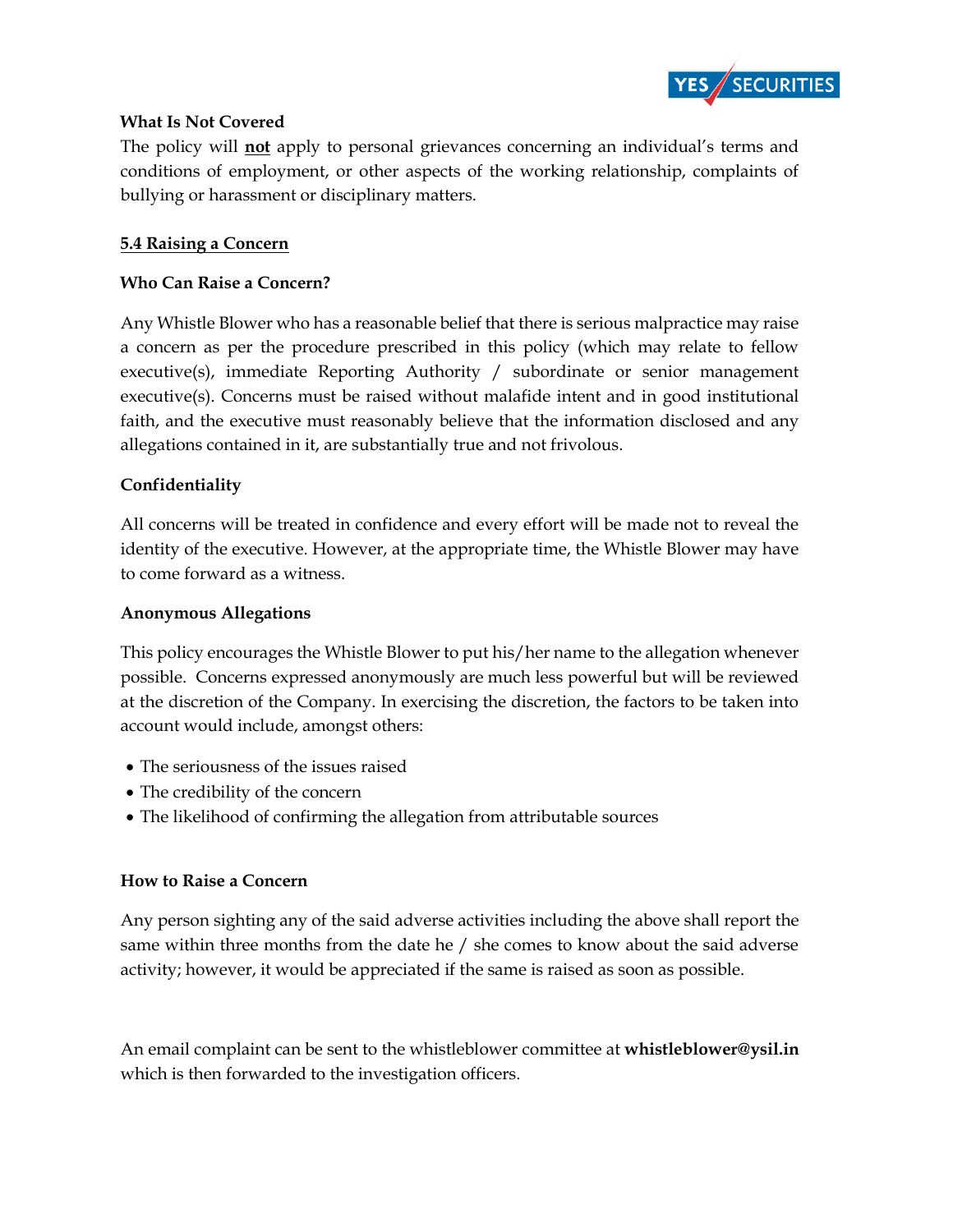

#### **What Is Not Covered**

The policy will **not** apply to personal grievances concerning an individual's terms and conditions of employment, or other aspects of the working relationship, complaints of bullying or harassment or disciplinary matters.

## **5.4 Raising a Concern**

#### **Who Can Raise a Concern?**

Any Whistle Blower who has a reasonable belief that there is serious malpractice may raise a concern as per the procedure prescribed in this policy (which may relate to fellow executive(s), immediate Reporting Authority / subordinate or senior management executive(s). Concerns must be raised without malafide intent and in good institutional faith, and the executive must reasonably believe that the information disclosed and any allegations contained in it, are substantially true and not frivolous.

## **Confidentiality**

All concerns will be treated in confidence and every effort will be made not to reveal the identity of the executive. However, at the appropriate time, the Whistle Blower may have to come forward as a witness.

#### **Anonymous Allegations**

This policy encourages the Whistle Blower to put his/her name to the allegation whenever possible. Concerns expressed anonymously are much less powerful but will be reviewed at the discretion of the Company. In exercising the discretion, the factors to be taken into account would include, amongst others:

- The seriousness of the issues raised
- The credibility of the concern
- The likelihood of confirming the allegation from attributable sources

## **How to Raise a Concern**

Any person sighting any of the said adverse activities including the above shall report the same within three months from the date he / she comes to know about the said adverse activity; however, it would be appreciated if the same is raised as soon as possible.

An email complaint can be sent to the whistleblower committee at **whistleblower@ysil.in**  which is then forwarded to the investigation officers.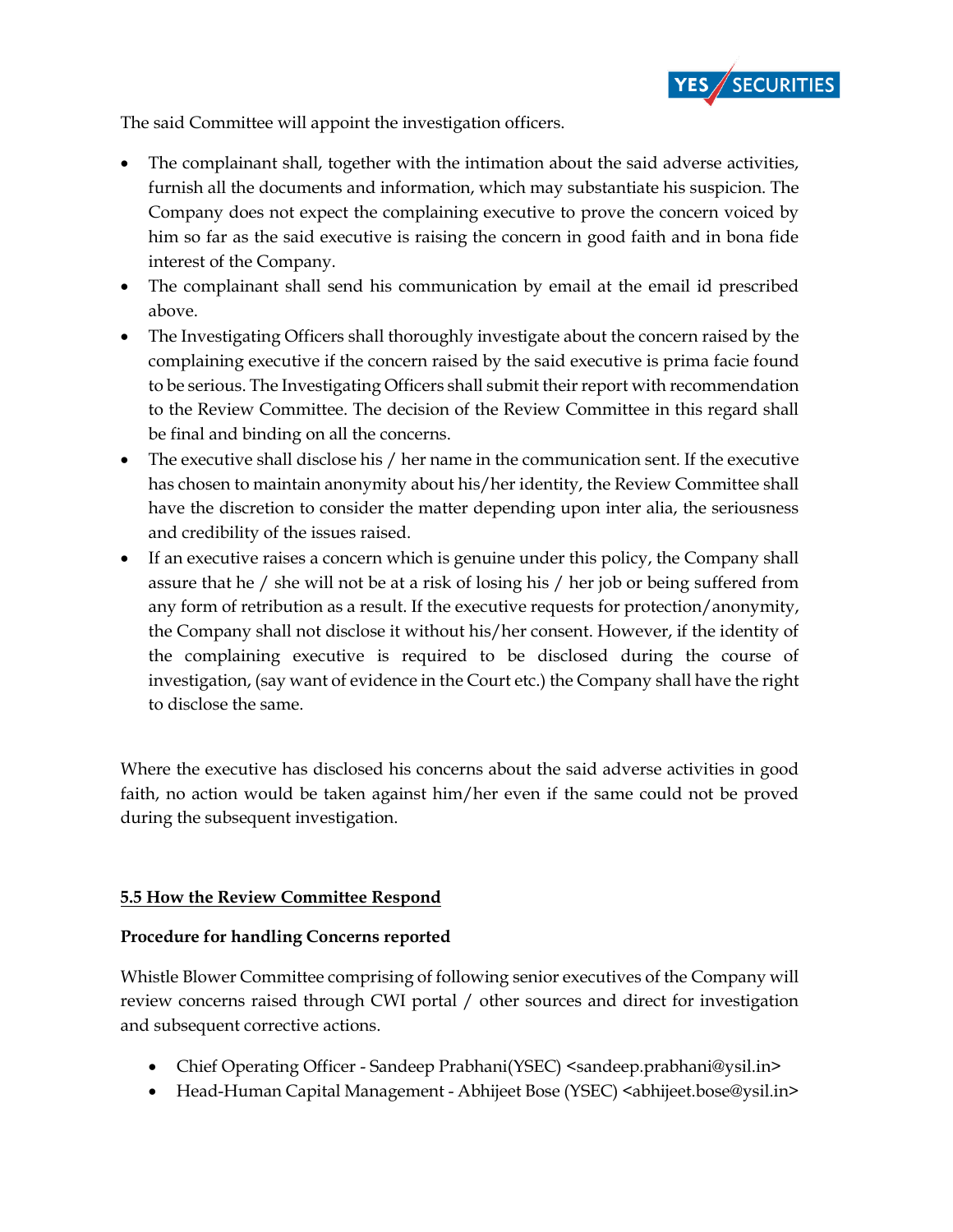

The said Committee will appoint the investigation officers.

- The complainant shall, together with the intimation about the said adverse activities, furnish all the documents and information, which may substantiate his suspicion. The Company does not expect the complaining executive to prove the concern voiced by him so far as the said executive is raising the concern in good faith and in bona fide interest of the Company.
- The complainant shall send his communication by email at the email id prescribed above.
- The Investigating Officers shall thoroughly investigate about the concern raised by the complaining executive if the concern raised by the said executive is prima facie found to be serious. The Investigating Officers shall submit their report with recommendation to the Review Committee. The decision of the Review Committee in this regard shall be final and binding on all the concerns.
- The executive shall disclose his / her name in the communication sent. If the executive has chosen to maintain anonymity about his/her identity, the Review Committee shall have the discretion to consider the matter depending upon inter alia, the seriousness and credibility of the issues raised.
- If an executive raises a concern which is genuine under this policy, the Company shall assure that he / she will not be at a risk of losing his / her job or being suffered from any form of retribution as a result. If the executive requests for protection/anonymity, the Company shall not disclose it without his/her consent. However, if the identity of the complaining executive is required to be disclosed during the course of investigation, (say want of evidence in the Court etc.) the Company shall have the right to disclose the same.

Where the executive has disclosed his concerns about the said adverse activities in good faith, no action would be taken against him/her even if the same could not be proved during the subsequent investigation.

## **5.5 How the Review Committee Respond**

## **Procedure for handling Concerns reported**

Whistle Blower Committee comprising of following senior executives of the Company will review concerns raised through CWI portal / other sources and direct for investigation and subsequent corrective actions.

- Chief Operating Officer Sandeep Prabhani(YSEC) <sandeep.prabhani@ysil.in>
- Head-Human Capital Management Abhijeet Bose (YSEC) <abhijeet.bose@ysil.in>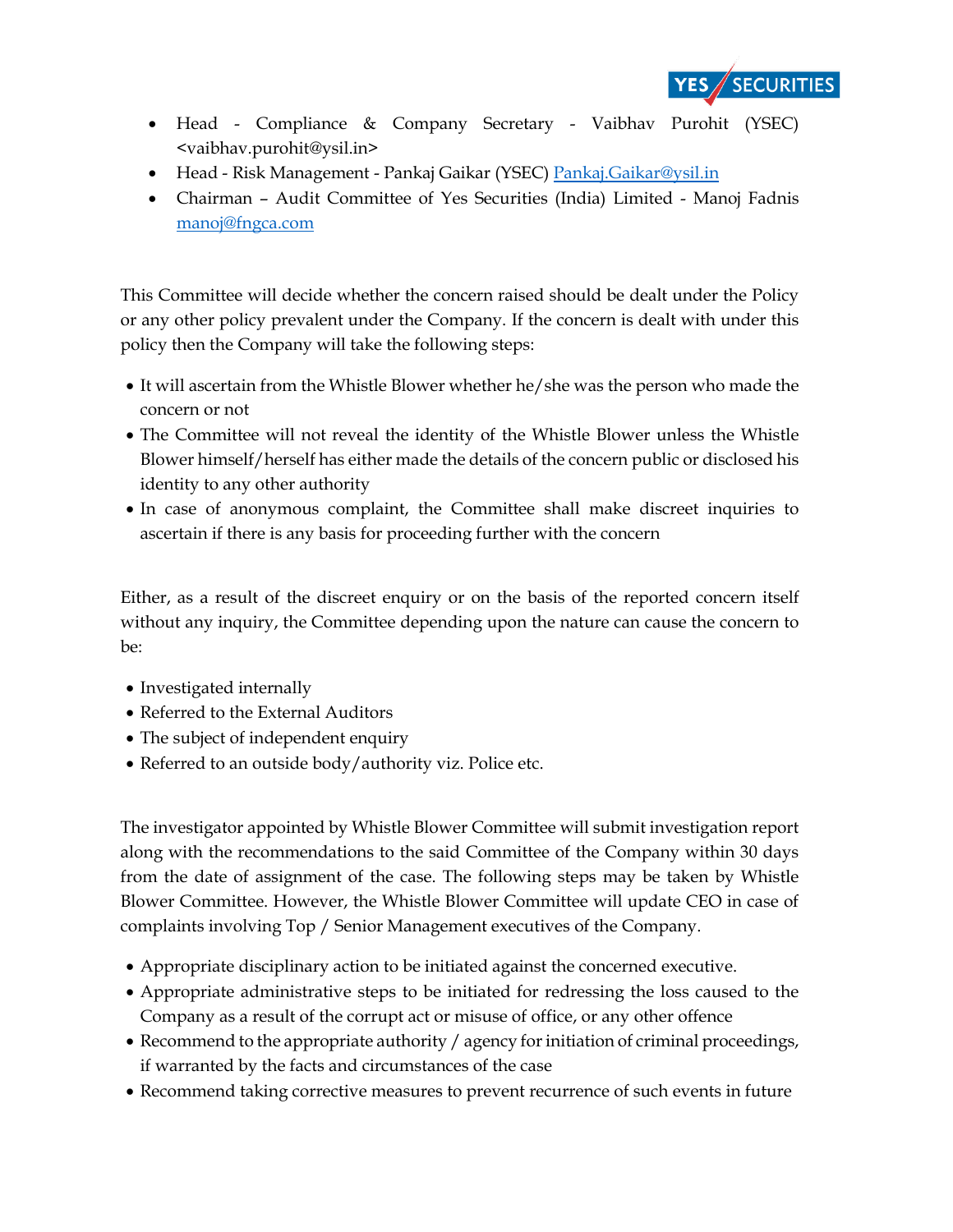

- Head Compliance & Company Secretary Vaibhav Purohit (YSEC) <vaibhav.purohit@ysil.in>
- Head Risk Management Pankaj Gaikar (YSEC[\) Pankaj.Gaikar@ysil.in](mailto:Pankaj.Gaikar@ysil.in)
- Chairman Audit Committee of Yes Securities (India) Limited Manoj Fadnis [manoj@fngca.com](mailto:manoj@fngca.com)

This Committee will decide whether the concern raised should be dealt under the Policy or any other policy prevalent under the Company. If the concern is dealt with under this policy then the Company will take the following steps:

- It will ascertain from the Whistle Blower whether he/she was the person who made the concern or not
- The Committee will not reveal the identity of the Whistle Blower unless the Whistle Blower himself/herself has either made the details of the concern public or disclosed his identity to any other authority
- In case of anonymous complaint, the Committee shall make discreet inquiries to ascertain if there is any basis for proceeding further with the concern

Either, as a result of the discreet enquiry or on the basis of the reported concern itself without any inquiry, the Committee depending upon the nature can cause the concern to be:

- Investigated internally
- Referred to the External Auditors
- The subject of independent enquiry
- Referred to an outside body/authority viz. Police etc.

The investigator appointed by Whistle Blower Committee will submit investigation report along with the recommendations to the said Committee of the Company within 30 days from the date of assignment of the case. The following steps may be taken by Whistle Blower Committee. However, the Whistle Blower Committee will update CEO in case of complaints involving Top / Senior Management executives of the Company.

- Appropriate disciplinary action to be initiated against the concerned executive.
- Appropriate administrative steps to be initiated for redressing the loss caused to the Company as a result of the corrupt act or misuse of office, or any other offence
- Recommend to the appropriate authority / agency for initiation of criminal proceedings, if warranted by the facts and circumstances of the case
- Recommend taking corrective measures to prevent recurrence of such events in future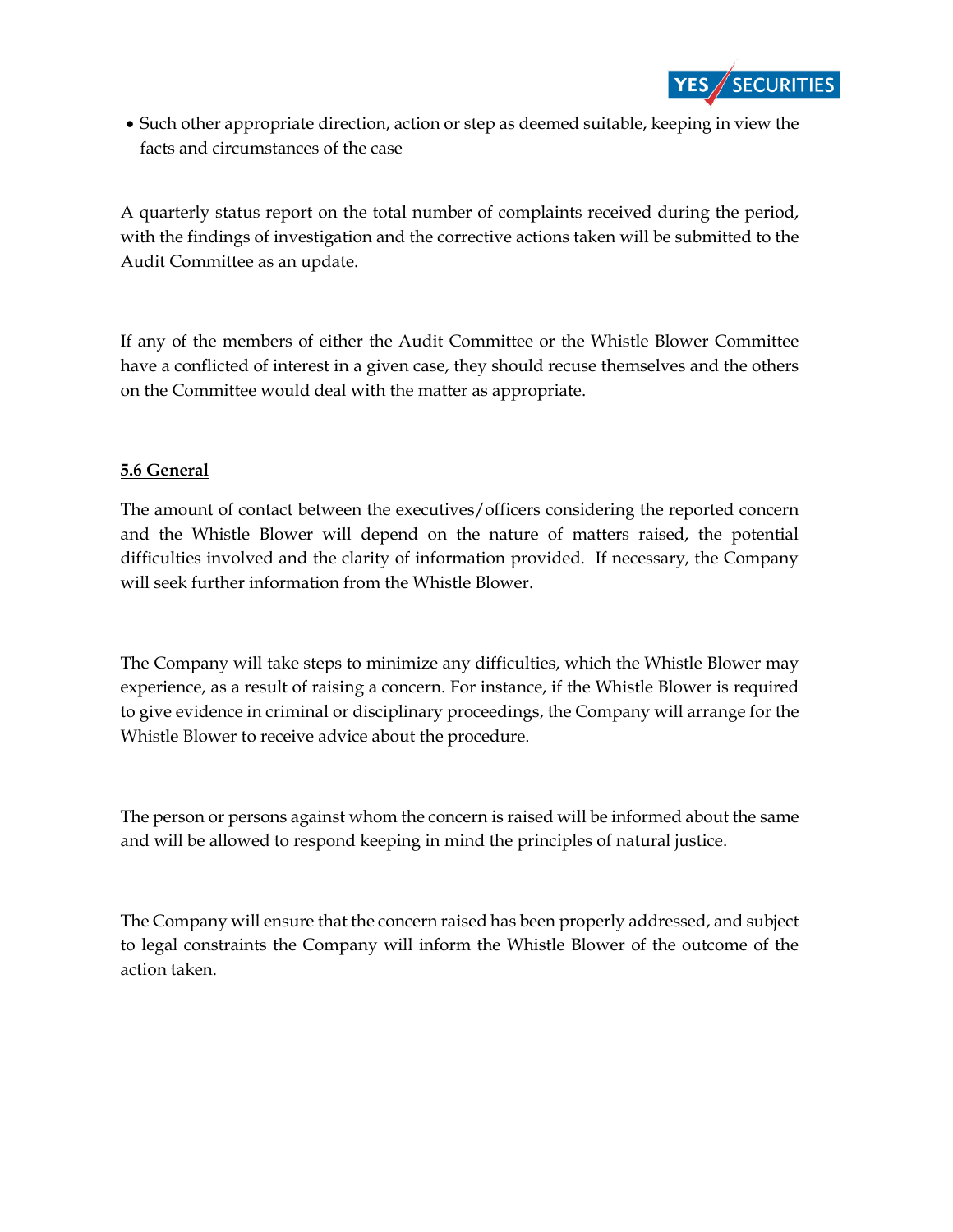

• Such other appropriate direction, action or step as deemed suitable, keeping in view the facts and circumstances of the case

A quarterly status report on the total number of complaints received during the period, with the findings of investigation and the corrective actions taken will be submitted to the Audit Committee as an update.

If any of the members of either the Audit Committee or the Whistle Blower Committee have a conflicted of interest in a given case, they should recuse themselves and the others on the Committee would deal with the matter as appropriate.

# **5.6 General**

The amount of contact between the executives/officers considering the reported concern and the Whistle Blower will depend on the nature of matters raised, the potential difficulties involved and the clarity of information provided. If necessary, the Company will seek further information from the Whistle Blower.

The Company will take steps to minimize any difficulties, which the Whistle Blower may experience, as a result of raising a concern. For instance, if the Whistle Blower is required to give evidence in criminal or disciplinary proceedings, the Company will arrange for the Whistle Blower to receive advice about the procedure.

The person or persons against whom the concern is raised will be informed about the same and will be allowed to respond keeping in mind the principles of natural justice.

The Company will ensure that the concern raised has been properly addressed, and subject to legal constraints the Company will inform the Whistle Blower of the outcome of the action taken.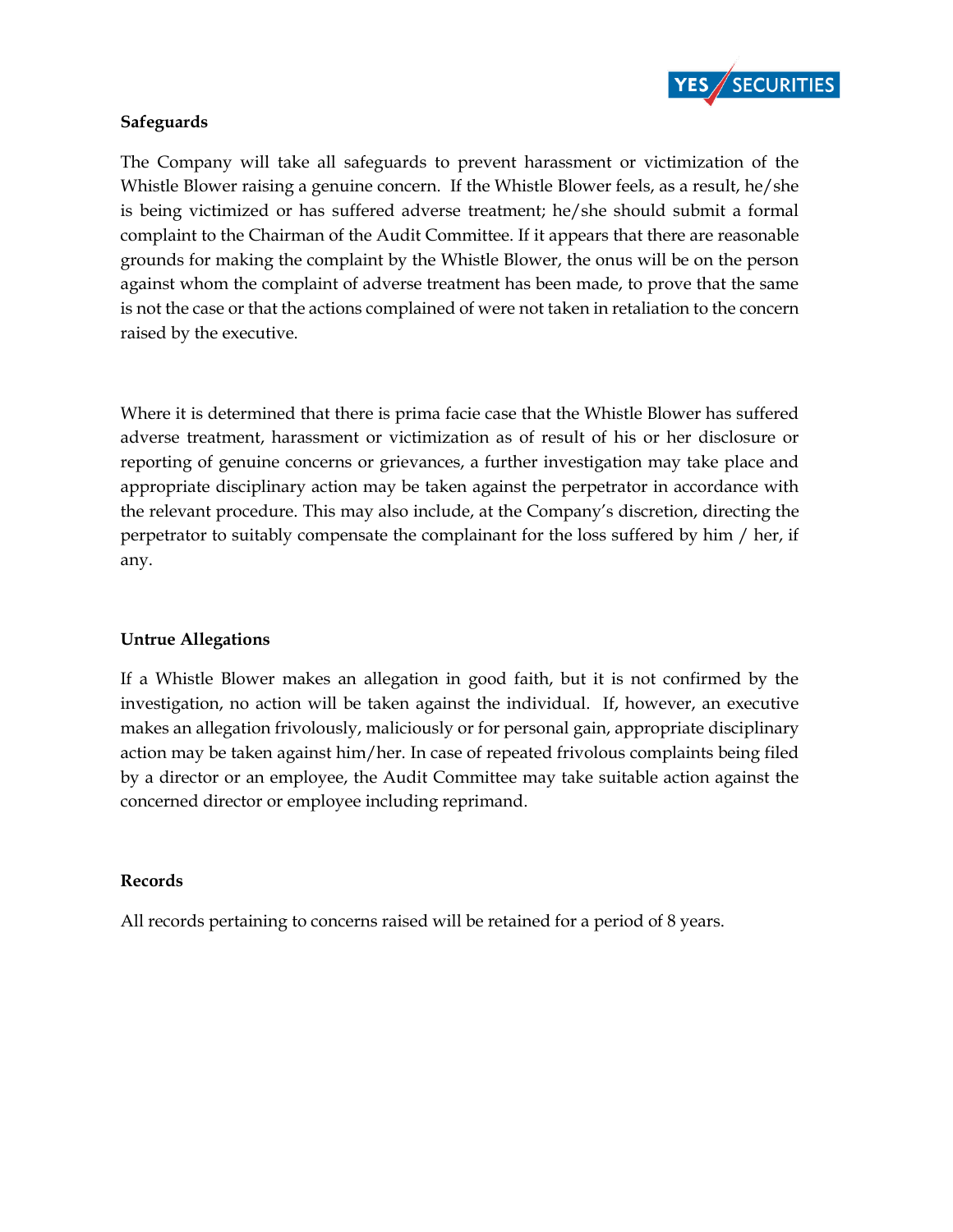

#### **Safeguards**

The Company will take all safeguards to prevent harassment or victimization of the Whistle Blower raising a genuine concern. If the Whistle Blower feels, as a result, he/she is being victimized or has suffered adverse treatment; he/she should submit a formal complaint to the Chairman of the Audit Committee. If it appears that there are reasonable grounds for making the complaint by the Whistle Blower, the onus will be on the person against whom the complaint of adverse treatment has been made, to prove that the same is not the case or that the actions complained of were not taken in retaliation to the concern raised by the executive.

Where it is determined that there is prima facie case that the Whistle Blower has suffered adverse treatment, harassment or victimization as of result of his or her disclosure or reporting of genuine concerns or grievances, a further investigation may take place and appropriate disciplinary action may be taken against the perpetrator in accordance with the relevant procedure. This may also include, at the Company's discretion, directing the perpetrator to suitably compensate the complainant for the loss suffered by him / her, if any.

## **Untrue Allegations**

If a Whistle Blower makes an allegation in good faith, but it is not confirmed by the investigation, no action will be taken against the individual. If, however, an executive makes an allegation frivolously, maliciously or for personal gain, appropriate disciplinary action may be taken against him/her. In case of repeated frivolous complaints being filed by a director or an employee, the Audit Committee may take suitable action against the concerned director or employee including reprimand.

#### **Records**

All records pertaining to concerns raised will be retained for a period of 8 years.